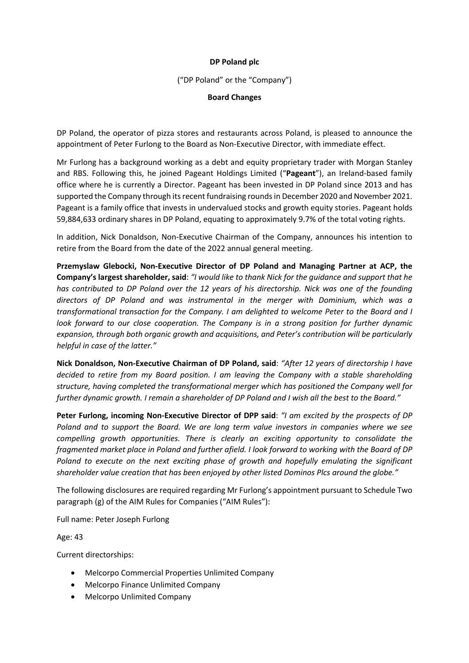## **DP Poland plc**

("DP Poland" or the "Company")

# **Board Changes**

DP Poland, the operator of pizza stores and restaurants across Poland, is pleased to announce the appointment of Peter Furlong to the Board as Non-Executive Director, with immediate effect.

Mr Furlong has a background working as a debt and equity proprietary trader with Morgan Stanley and RBS. Following this, he joined Pageant Holdings Limited ("**Pageant**"), an Ireland-based family office where he is currently a Director. Pageant has been invested in DP Poland since 2013 and has supported the Company through its recent fundraising rounds in December 2020 and November 2021. Pageant is a family office that invests in undervalued stocks and growth equity stories. Pageant holds 59,884,633 ordinary shares in DP Poland, equating to approximately 9.7% of the total voting rights.

In addition, Nick Donaldson, Non-Executive Chairman of the Company, announces his intention to retire from the Board from the date of the 2022 annual general meeting.

**Przemyslaw Glebocki, Non-Executive Director of DP Poland and Managing Partner at ACP, the Company's largest shareholder, said**: *"I would like to thank Nick for the guidance and support that he has contributed to DP Poland over the 12 years of his directorship. Nick was one of the founding directors of DP Poland and was instrumental in the merger with Dominium, which was a transformational transaction for the Company. I am delighted to welcome Peter to the Board and I look forward to our close cooperation. The Company is in a strong position for further dynamic expansion, through both organic growth and acquisitions, and Peter's contribution will be particularly helpful in case of the latter."* 

**Nick Donaldson, Non-Executive Chairman of DP Poland, said**: *"After 12 years of directorship I have decided to retire from my Board position. I am leaving the Company with a stable shareholding structure, having completed the transformational merger which has positioned the Company well for further dynamic growth. I remain a shareholder of DP Poland and I wish all the best to the Board."*

**Peter Furlong, incoming Non-Executive Director of DPP said**: *"I am excited by the prospects of DP Poland and to support the Board. We are long term value investors in companies where we see compelling growth opportunities. There is clearly an exciting opportunity to consolidate the fragmented market place in Poland and further afield. I look forward to working with the Board of DP Poland to execute on the next exciting phase of growth and hopefully emulating the significant shareholder value creation that has been enjoyed by other listed Dominos Plcs around the globe."*

The following disclosures are required regarding Mr Furlong's appointment pursuant to Schedule Two paragraph (g) of the AIM Rules for Companies ("AIM Rules"):

Full name: Peter Joseph Furlong

Age: 43

Current directorships:

- Melcorpo Commercial Properties Unlimited Company
- Melcorpo Finance Unlimited Company
- Melcorpo Unlimited Company